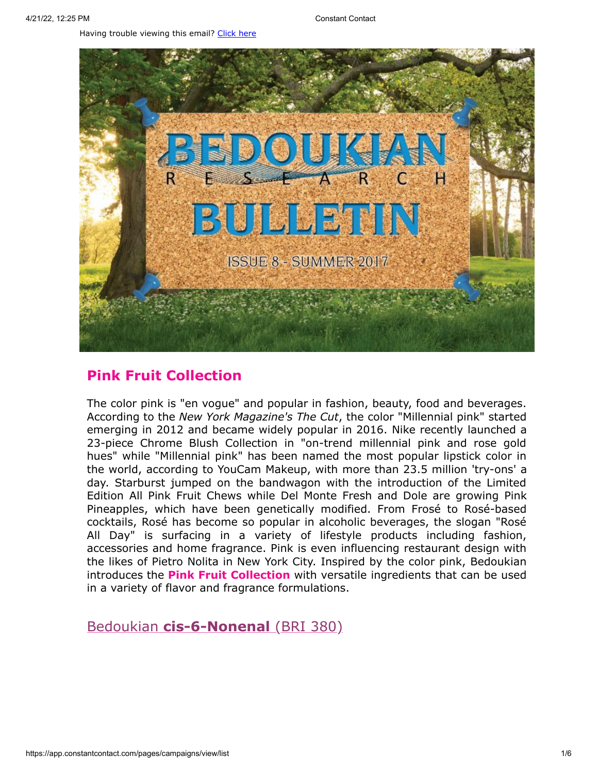Having trouble viewing this email? [Click](http://campaign.r20.constantcontact.com/render?preview=true&m=1119604276206&ca=810f13a6-27ed-4ee1-a011-b7c6185a98c9&id=preview) here



# **Pink Fruit Collection**

The color pink is "en vogue" and popular in fashion, beauty, food and beverages. According to the *New York Magazine's The Cut*, the color "Millennial pink" started emerging in 2012 and became widely popular in 2016. Nike recently launched a 23-piece Chrome Blush Collection in "on-trend millennial pink and rose gold hues" while "Millennial pink" has been named the most popular lipstick color in the world, according to YouCam Makeup, with more than 23.5 million 'try-ons' a day. Starburst jumped on the bandwagon with the introduction of the Limited Edition All Pink Fruit Chews while Del Monte Fresh and Dole are growing Pink Pineapples, which have been genetically modified. From Frosé to Rosé-based cocktails, Rosé has become so popular in alcoholic beverages, the slogan "Rosé All Day" is surfacing in a variety of lifestyle products including fashion, accessories and home fragrance. Pink is even influencing restaurant design with the likes of Pietro Nolita in New York City. Inspired by the color pink, Bedoukian introduces the **Pink Fruit Collection** with versatile ingredients that can be used in a variety of flavor and fragrance formulations.

Bedoukian **[cis-6-Nonenal](http://search.bedoukian.com/flavorfragrance/ff_product.asp?method=POP&id=380)** (BRI 380)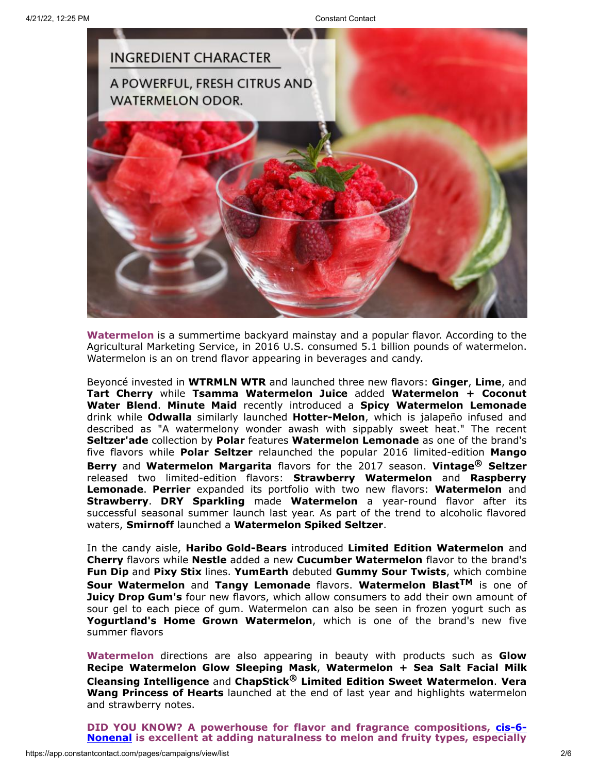

**Watermelon** is a summertime backyard mainstay and a popular flavor. According to the Agricultural Marketing Service, in 2016 U.S. consumed 5.1 billion pounds of watermelon. Watermelon is an on trend flavor appearing in beverages and candy.

Beyoncé invested in **WTRMLN WTR** and launched three new flavors: **Ginger**, **Lime**, and **Tart Cherry** while **Tsamma Watermelon Juice** added **Watermelon + Coconut Water Blend**. **Minute Maid** recently introduced a **Spicy Watermelon Lemonade** drink while **Odwalla** similarly launched **Hotter-Melon**, which is jalapeño infused and described as "A watermelony wonder awash with sippably sweet heat." The recent **Seltzer'ade** collection by **Polar** features **Watermelon Lemonade** as one of the brand's five flavors while **Polar Seltzer** relaunched the popular 2016 limited-edition **Mango Berry** and **Watermelon Margarita** flavors for the 2017 season. **Vintage® Seltzer** released two limited-edition flavors: **Strawberry Watermelon** and **Raspberry Lemonade**. **Perrier** expanded its portfolio with two new flavors: **Watermelon** and **Strawberry**. **DRY Sparkling** made **Watermelon** a year-round flavor after its successful seasonal summer launch last year. As part of the trend to alcoholic flavored waters, **Smirnoff** launched a **Watermelon Spiked Seltzer**.

In the candy aisle, **Haribo Gold-Bears** introduced **Limited Edition Watermelon** and **Cherry** flavors while **Nestle** added a new **Cucumber Watermelon** flavor to the brand's **Fun Dip** and **Pixy Stix** lines. **YumEarth** debuted **Gummy Sour Twists**, which combine **Sour Watermelon** and **Tangy Lemonade** flavors. **Watermelon BlastTM** is one of **Juicy Drop Gum's** four new flavors, which allow consumers to add their own amount of sour gel to each piece of gum. Watermelon can also be seen in frozen yogurt such as **Yogurtland's Home Grown Watermelon**, which is one of the brand's new five summer flavors

**Watermelon** directions are also appearing in beauty with products such as **Glow Recipe Watermelon Glow Sleeping Mask**, **Watermelon + Sea Salt Facial Milk Cleansing Intelligence** and **ChapStick® Limited Edition Sweet Watermelon**. **Vera Wang Princess of Hearts** launched at the end of last year and highlights watermelon and strawberry notes.

**DID YOU KNOW? A powerhouse for flavor and fragrance [compositions,](http://www.bedoukian.com/images/ACCORDS/380%20cis-6-Nonenal%20Accord.pdf) cis-6- Nonenal is excellent at adding naturalness to melon and fruity types, especially**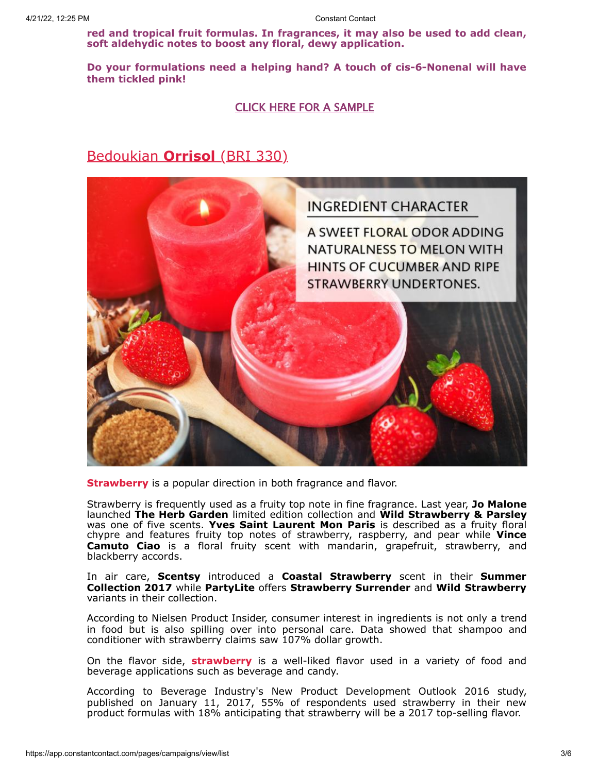**red and tropical fruit formulas. In fragrances, it may also be used to add clean, soft aldehydic notes to boost any floral, dewy application.**

**Do your formulations need a helping hand? A touch of cis-6-Nonenal will have them tickled pink!**

#### CLICK HERE FOR A [SAMPLE](mailto:customerservice@bedoukian.com?subject=Bedoukian%20Bulletin%20-%202017&body=Hello%2C%0A%0AI%20would%20like%20to%20request%20free%20samples%20of%20each%20product%20advertised%20in%20the%20Summer%202017%20Bedoukian%20Bulletin!%0A)

## Bedoukian **[Orrisol](http://search.bedoukian.com/flavorfragrance/ff_product.asp?method=POP&id=330)** (BRI 330)



**Strawberry** is a popular direction in both fragrance and flavor.

Strawberry is frequently used as a fruity top note in fine fragrance. Last year, **Jo Malone** launched **The Herb Garden** limited edition collection and **Wild Strawberry & Parsley** was one of five scents. **Yves Saint Laurent Mon Paris** is described as a fruity floral chypre and features fruity top notes of strawberry, raspberry, and pear while **Vince Camuto Ciao** is a floral fruity scent with mandarin, grapefruit, strawberry, and blackberry accords.

In air care, **Scentsy** introduced a **Coastal Strawberry** scent in their **Summer Collection 2017** while **PartyLite** offers **Strawberry Surrender** and **Wild Strawberry** variants in their collection.

According to Nielsen Product Insider, consumer interest in ingredients is not only a trend in food but is also spilling over into personal care. Data showed that shampoo and conditioner with strawberry claims saw 107% dollar growth.

On the flavor side, **strawberry** is a well-liked flavor used in a variety of food and beverage applications such as beverage and candy.

According to Beverage Industry's New Product Development Outlook 2016 study, published on January 11, 2017, 55% of respondents used strawberry in their new product formulas with 18% anticipating that strawberry will be a 2017 top-selling flavor.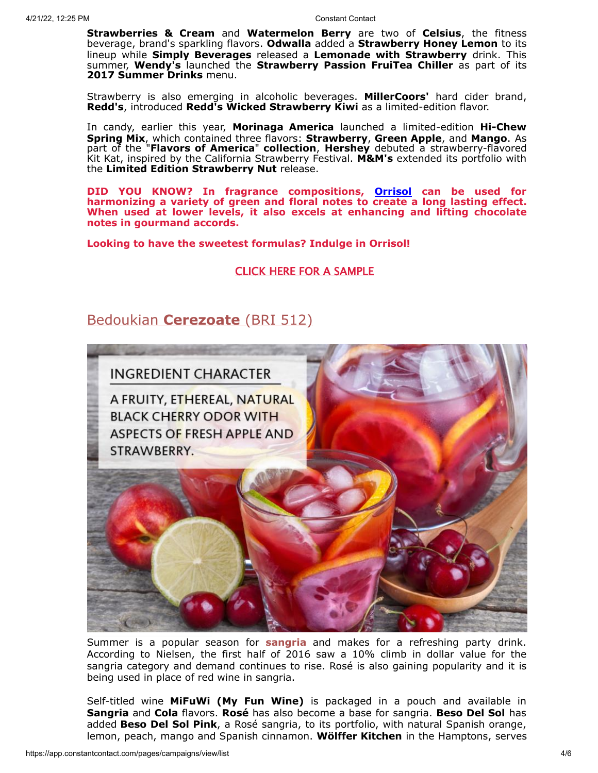**Strawberries & Cream** and **Watermelon Berry** are two of **Celsius**, the fitness beverage, brand's sparkling flavors. **Odwalla** added a **Strawberry Honey Lemon** to its lineup while **Simply Beverages** released a **Lemonade with Strawberry** drink. This summer, **Wendy's** launched the **Strawberry Passion FruiTea Chiller** as part of its **2017 Summer Drinks** menu.

Strawberry is also emerging in alcoholic beverages. **MillerCoors'** hard cider brand, **Redd's**, introduced **Redd's Wicked Strawberry Kiwi** as a limited-edition flavor.

In candy, earlier this year, **Morinaga America** launched a limited-edition **Hi-Chew Spring Mix**, which contained three flavors: **Strawberry**, **Green Apple**, and **Mango**. As part of the "**Flavors of America**" **collection**, **Hershey** debuted a strawberry-flavored Kit Kat, inspired by the California Strawberry Festival. **M&M's** extended its portfolio with the **Limited Edition Strawberry Nut** release.

**DID YOU KNOW? In fragrance compositions, [Orrisol](http://www.bedoukian.com/images/ACCORDS/330%20Orrisol%20Accords.pdf) can be used for harmonizing a variety of green and floral notes to create a long lasting effect. When used at lower levels, it also excels at enhancing and lifting chocolate notes in gourmand accords.**

**Looking to have the sweetest formulas? Indulge in Orrisol!**

CLICK HERE FOR A [SAMPLE](mailto:customerservice@bedoukian.com?subject=Bedoukian%20Bulletin%20-%202017&body=Hello%2C%0A%0AI%20would%20like%20to%20request%20free%20samples%20of%20each%20product%20advertised%20in%20the%20Summer%202017%20Bedoukian%20Bulletin!%0A)

## Bedoukian **[Cerezoate](http://search.bedoukian.com/flavorfragrance/ff_product.asp?method=POP&id=512)** (BRI 512)



Summer is a popular season for **sangria** and makes for a [refreshing](http://search.bedoukian.com/flavorfragrance/ff_product.asp?method=POP&id=512) party drink. According to Nielsen, the first half of 2016 saw a 10% climb in dollar value for the sangria category and demand continues to rise. Rosé is also gaining popularity and it is being used in place of red wine in sangria.

Self-titled wine **MiFuWi (My Fun Wine)** is packaged in a pouch and available in **Sangria** and **Cola** flavors. **Rosé** has also become a base for sangria. **Beso Del Sol** has added **Beso Del Sol Pink**, a Rosé sangria, to its portfolio, with natural Spanish orange, lemon, peach, mango and Spanish cinnamon. **Wölffer Kitchen** in the Hamptons, serves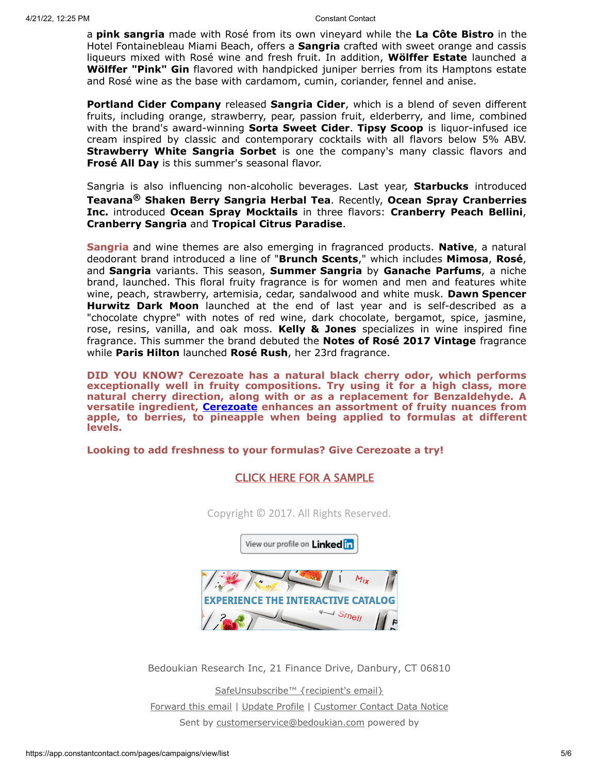a **pink sangria** made with Rosé from its own vineyard while the **La Côte Bistro** in the Hotel Fontainebleau Miami Beach, offers a **Sangria** crafted with sweet orange and cassis liqueurs mixed with Rosé wine and fresh fruit. In addition, **Wölffer Estate** launched a **Wölffer "Pink" Gin** flavored with handpicked juniper berries from its Hamptons estate and Rosé wine as the base with cardamom, cumin, coriander, fennel and anise.

**Portland Cider Company** released **Sangria Cider**, which is a blend of seven different fruits, including orange, strawberry, pear, passion fruit, elderberry, and lime, combined with the brand's award-winning **Sorta Sweet Cider**. **Tipsy Scoop** is liquor-infused ice cream inspired by classic and contemporary cocktails with all flavors below 5% ABV. **Strawberry White Sangria Sorbet** is one the company's many classic flavors and **Frosé All Day** is this summer's seasonal flavor.

Sangria is also influencing non-alcoholic beverages. Last year, **Starbucks** introduced **Teavana® Shaken Berry Sangria Herbal Tea**. Recently, **Ocean Spray Cranberries Inc.** introduced **Ocean Spray Mocktails** in three flavors: **Cranberry Peach Bellini**, **Cranberry Sangria** and **Tropical Citrus Paradise**.

**Sangria** and wine themes are also emerging in fragranced products. **Native**, a natural deodorant brand introduced a line of "**Brunch Scents**," which includes **Mimosa**, **Rosé**, and **Sangria** variants. This season, **Summer Sangria** by **Ganache Parfums**, a niche brand, launched. This floral fruity fragrance is for women and men and features white wine, peach, strawberry, artemisia, cedar, sandalwood and white musk. **Dawn Spencer Hurwitz Dark Moon** launched at the end of last year and is self-described as a "chocolate chypre" with notes of red wine, dark chocolate, bergamot, spice, jasmine, rose, resins, vanilla, and oak moss. **Kelly & Jones** specializes in wine inspired fine fragrance. This summer the brand debuted the **Notes of Rosé 2017 Vintage** fragrance while **Paris Hilton** launched **Rosé Rush**, her 23rd fragrance.

**DID YOU KNOW? Cerezoate has a natural black cherry odor, which performs exceptionally well in fruity compositions. Try using it for a high class, more natural cherry direction, along with or as a replacement for Benzaldehyde. A versatile ingredient, [Cerezoate](http://www.bedoukian.com/images/ACCORDS/512%20Cerezoate%20Accords.pdf) enhances an assortment of fruity nuances from apple, to berries, to pineapple when being applied to formulas at different levels.**

#### **Looking to add freshness to your formulas? Give Cerezoate a try!**

### CLICK HERE FOR A [SAMPLE](mailto:customerservice@bedoukian.com?subject=Bedoukian%20Bulletin%20-%202017&body=Hello%2C%0A%0AI%20would%20like%20to%20request%20free%20samples%20of%20each%20product%20advertised%20in%20the%20Summer%202017%20Bedoukian%20Bulletin!%0A)

Copyright © 2017. All Rights Reserved.

View our profile on Linked in



Bedoukian Research Inc, 21 Finance Drive, Danbury, CT 06810

[SafeUnsubscribe™ {recipient's email}](https://visitor.constantcontact.com/do?p=un&mse=001tFro5SipzUfAgD5Xrz9EaDaRdFi9WZ0z&t=001Ia0vubly8mHI7R0v9YYx5w%3D%3D&id=001b-xBWU3VMkdAJ6tFcpkOcsifzWScXIdR&llr=o459zwsab) [Forward this email](https://ui.constantcontact.com/sa/fwtf.jsp?llr=o459zwsab&m=1119604276206&ea=tmclemore@bedoukian.com&a=1128827009789&id=preview) | [Update Profile](https://visitor.constantcontact.com/do?mse=001tFro5SipzUfAgD5Xrz9EaEt3d7McLc110wK1dc3-kHUEpInHauI7iw%3D%3D&t=001Ia0vubly8mHI7R0v9YYx5w%3D%3D&lang=001FCSs65SMrsI%3D&id=001b-xBWU3VMkdAJ6tFcpkOcsifzWScXIdR&llr=o459zwsab&p=oo) | [Customer Contact Data Notice](https://www.constantcontact.com/legal/customer-contact-data-notice) Sent by [customerservice@bedoukian.com](mailto:customerservice@bedoukian.com) powered by